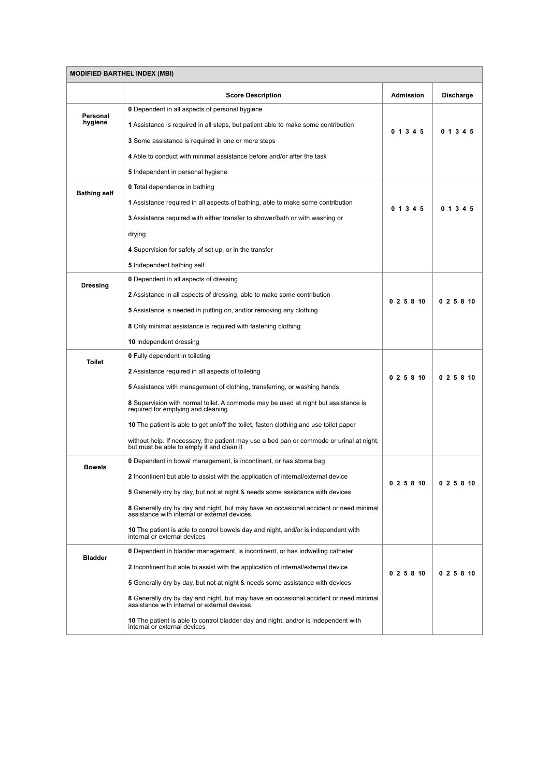| <b>MODIFIED BARTHEL INDEX (MBI)</b> |                                                                                                                                       |                  |                  |  |
|-------------------------------------|---------------------------------------------------------------------------------------------------------------------------------------|------------------|------------------|--|
|                                     | <b>Score Description</b>                                                                                                              | <b>Admission</b> | <b>Discharge</b> |  |
| Personal<br>hygiene                 | <b>0</b> Dependent in all aspects of personal hygiene                                                                                 | 0 1 3 4 5        |                  |  |
|                                     | <b>1</b> Assistance is required in all steps, but patient able to make some contribution                                              |                  | 0 1 3 4 5        |  |
|                                     | <b>3</b> Some assistance is required in one or more steps                                                                             |                  |                  |  |
|                                     | 4 Able to conduct with minimal assistance before and/or after the task                                                                |                  |                  |  |
|                                     | 5 Independent in personal hygiene                                                                                                     |                  |                  |  |
| <b>Bathing self</b>                 | <b>0</b> Total dependence in bathing                                                                                                  | 0 1 3 4 5        | 0 1 3 4 5        |  |
|                                     | <b>1</b> Assistance required in all aspects of bathing, able to make some contribution                                                |                  |                  |  |
|                                     | <b>3</b> Assistance required with either transfer to shower/bath or with washing or                                                   |                  |                  |  |
|                                     | drying                                                                                                                                |                  |                  |  |
|                                     | 4 Supervision for safety of set up, or in the transfer                                                                                |                  |                  |  |
|                                     | 5 Independent bathing self                                                                                                            |                  |                  |  |
| <b>Dressing</b>                     | <b>0</b> Dependent in all aspects of dressing                                                                                         |                  |                  |  |
|                                     | <b>2</b> Assistance in all aspects of dressing, able to make some contribution                                                        | 025810           | 025810           |  |
|                                     | <b>5</b> Assistance is needed in putting on, and/or removing any clothing                                                             |                  |                  |  |
|                                     | 8 Only minimal assistance is required with fastening clothing                                                                         |                  |                  |  |
|                                     | 10 Independent dressing                                                                                                               |                  |                  |  |
| <b>Toilet</b>                       | <b>0</b> Fully dependent in toileting                                                                                                 |                  |                  |  |
|                                     | <b>2</b> Assistance required in all aspects of toileting                                                                              | 025810           | 025810           |  |
|                                     | <b>5</b> Assistance with management of clothing, transferring, or washing hands                                                       |                  |                  |  |
|                                     | 8 Supervision with normal toilet. A commode may be used at night but assistance is<br>required for emptying and cleaning              |                  |                  |  |
|                                     | 10 The patient is able to get on/off the toilet, fasten clothing and use toilet paper                                                 |                  |                  |  |
|                                     | without help. If necessary, the patient may use a bed pan or commode or urinal at night,<br>but must be able to empty it and clean it |                  |                  |  |
| <b>Bowels</b>                       | <b>0</b> Dependent in bowel management, is incontinent, or has stoma bag                                                              | 0 2 5 8 10       | 0 2 5 8 10       |  |
|                                     | <b>2</b> Incontinent but able to assist with the application of internal/external device                                              |                  |                  |  |
|                                     | 5 Generally dry by day, but not at night & needs some assistance with devices                                                         |                  |                  |  |
|                                     | 8 Generally dry by day and night, but may have an occasional accident or need minimal<br>assistance with internal or external devices |                  |                  |  |
|                                     | 10 The patient is able to control bowels day and night, and/or is independent with<br>internal or external devices                    |                  |                  |  |
| <b>Bladder</b>                      | <b>0</b> Dependent in bladder management, is incontinent, or has indwelling catheter                                                  | 0 2 5 8 10       | 025810           |  |
|                                     | <b>2</b> Incontinent but able to assist with the application of internal/external device                                              |                  |                  |  |
|                                     | 5 Generally dry by day, but not at night & needs some assistance with devices                                                         |                  |                  |  |
|                                     | 8 Generally dry by day and night, but may have an occasional accident or need minimal assistance with internal or external devices    |                  |                  |  |
|                                     | 10 The patient is able to control bladder day and night, and/or is independent with<br>internal or external devices                   |                  |                  |  |